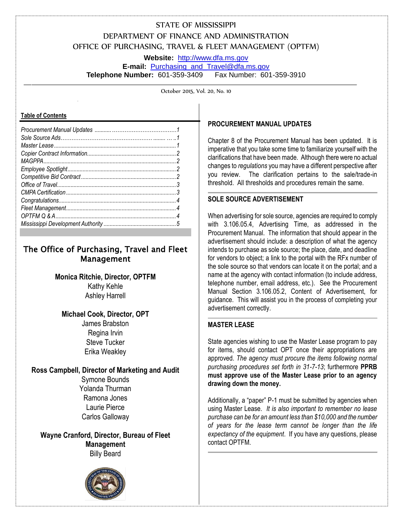# STATE OF MISSISSIPPI DEPARTMENT OF FINANCE AND ADMINISTRATION OFFICE OF PURCHASING, TRAVEL & FLEET MANAGEMENT (OPTFM)

**Website:** [http://www.dfa.ms.gov](http://www.dfa.ms.gov/)

**E-mail:** [Purchasing\\_and\\_Travel@dfa.ms.gov](mailto:Purchasing_and_Travel@dfa.ms.gov) **Telephone Number:** 601-359-3409 Fax Number: 601-359-3910

October 2015, Vol. 20, No. 10

#### **Table of Contents**

## The Office of Purchasing, Travel and Fleet Management

**Monica Ritchie, Director, OPTFM** Kathy Kehle Ashley Harrell

### **Michael Cook, Director, OPT**

James Brabston Regina Irvin Steve Tucker Erika Weakley

### **Ross Campbell, Director of Marketing and Audit**

Symone Bounds Yolanda Thurman Ramona Jones Laurie Pierce Carlos Galloway

**Wayne Cranford, Director, Bureau of Fleet Management** Billy Beard



### **PROCUREMENT MANUAL UPDATES**

Chapter 8 of the Procurement Manual has been updated. It is imperative that you take some time to familiarize yourself with the clarifications that have been made. Although there were no actual changes to *regulations* you may have a different perspective after you review. The clarification pertains to the sale/trade-in threshold. All thresholds and procedures remain the same.

### **SOLE SOURCE ADVERTISEMENT**

When advertising for sole source, agencies are required to comply with 3.106.05.4, Advertising Time, as addressed in the Procurement Manual. The information that should appear in the advertisement should include: a description of what the agency intends to purchase as sole source; the place, date, and deadline for vendors to object; a link to the portal with the RFx number of the sole source so that vendors can locate it on the portal; and a name at the agency with contact information (to include address, telephone number, email address, etc.). See the Procurement Manual Section 3.106.05.2, Content of Advertisement, for guidance. This will assist you in the process of completing your advertisement correctly.

### **MASTER LEASE**

State agencies wishing to use the Master Lease program to pay for items, should contact OPT once their appropriations are approved. *The agency must procure the items following normal purchasing procedures set forth in 31-7-13*; furthermore **PPRB must approve use of the Master Lease prior to an agency drawing down the money.** 

Additionally, a "paper" P-1 must be submitted by agencies when using Master Lease. *It is also important to remember no lease purchase can be for an amount less than \$10,000 and the number of years for the lease term cannot be longer than the life expectancy of the equipment*. If you have any questions, please contact OPTFM.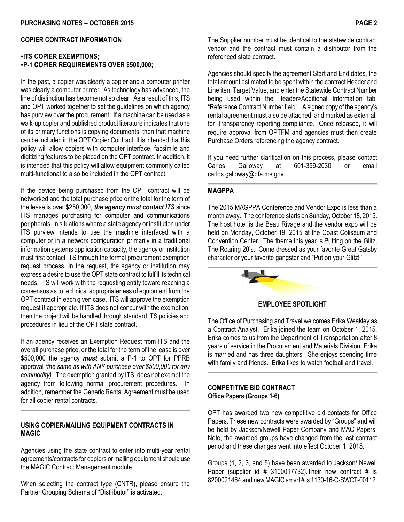### **PURCHASING NOTES – OCTOBER 2015**

### **COPIER CONTRACT INFORMATION**

### **▪ITS COPIER EXEMPTIONS; ▪P-1 COPIER REQUIREMENTS OVER \$500,000;**

In the past, a copier was clearly a copier and a computer printer was clearly a computer printer. As technology has advanced, the line of distinction has become not so clear. As a result of this, ITS and OPT worked together to set the guidelines on which agency has purview over the procurement. If a machine can be used as a walk-up copier and published product literature indicates that one of its primary functions is copying documents, then that machine can be included in the OPT Copier Contract. It is intended that this policy will allow copiers with computer interface, facsimile and digitizing features to be placed on the OPT contract. In addition, it is intended that this policy will allow equipment commonly called multi-functional to also be included in the OPT contract.

If the device being purchased from the OPT contract will be networked and the total purchase price or the total for the term of the lease is over \$250,000, *the agency must contact ITS* since ITS manages purchasing for computer and communications peripherals. In situations where a state agency or institution under ITS purview intends to use the machine interfaced with a computer or in a network configuration primarily in a traditional information systems application capacity, the agency or institution must first contact ITS through the formal procurement exemption request process. In the request, the agency or institution may express a desire to use the OPT state contract to fulfill its technical needs. ITS will work with the requesting entity toward reaching a consensus as to technical appropriateness of equipment from the OPT contract in each given case. ITS will approve the exemption request if appropriate. If ITS does not concur with the exemption, then the project will be handled through standard ITS policies and procedures in lieu of the OPT state contract.

If an agency receives an Exemption Request from ITS and the overall purchase price, or the total for the term of the lease is over \$500,000 the agency *must* submit a P-1 to OPT for PPRB approval *(the same as with ANY purchase over \$500,000 for any commodity)*. The exemption granted by ITS, does not exempt the agency from following normal procurement procedures. In addition, remember the Generic Rental Agreement must be used for all copier rental contracts.

### **USING COPIER/MAILING EQUIPMENT CONTRACTS IN MAGIC**

Agencies using the state contract to enter into multi-year rental agreements/contracts for copiers or mailing equipment should use the MAGIC Contract Management module.

When selecting the contract type (CNTR), please ensure the Partner Grouping Schema of "Distributor" is activated.

The Supplier number must be identical to the statewide contract vendor and the contract must contain a distributor from the referenced state contract.

Agencies should specify the agreement Start and End dates, the total amount estimated to be spent within the contract Header and Line item Target Value, and enter the Statewide Contract Number being used within the Header>Additional Information tab, "Reference Contract Number field". A signed copy of the agency's rental agreement must also be attached, and marked as external, for Transparency reporting compliance. Once released, it will require approval from OPTFM and agencies must then create Purchase Orders referencing the agency contract.

If you need further clarification on this process, please contact Carlos Galloway at 601-359-2030 or email carlos.galloway@dfa.ms.gov

### **MAGPPA**

The 2015 MAGPPA Conference and Vendor Expo is less than a month away. The conference starts on Sunday, October 18, 2015. The host hotel is the Beau Rivage and the vendor expo will be held on Monday, October 19, 2015 at the Coast Coliseum and Convention Center. The theme this year is Putting on the Glitz, The Roaring 20's. Come dressed as your favorite Great Gatsby character or your favorite gangster and "Put on your Glitz!"



#### **EMPLOYEE SPOTLIGHT**

The Office of Purchasing and Travel welcomes Erika Weakley as a Contract Analyst. Erika joined the team on October 1, 2015. Erika comes to us from the Department of Transportation after 8 years of service in the Procurement and Materials Division. Erika is married and has three daughters. She enjoys spending time with family and friends. Erika likes to watch football and travel.

### **COMPETITIVE BID CONTRACT Office Papers (Groups 1-6)**

OPT has awarded two new competitive bid contacts for Office Papers. These new contracts were awarded by "Groups" and will be held by Jackson/Newell Paper Company and MAC Papers. Note, the awarded groups have changed from the last contract period and these changes went into effect October 1, 2015.

Groups (1, 2, 3, and 5) have been awarded to Jackson/ Newell Paper (supplier id # 3100017732). Their new contract # is 8200021464 and new MAGIC smart # is 1130-16-C-SWCT-00112.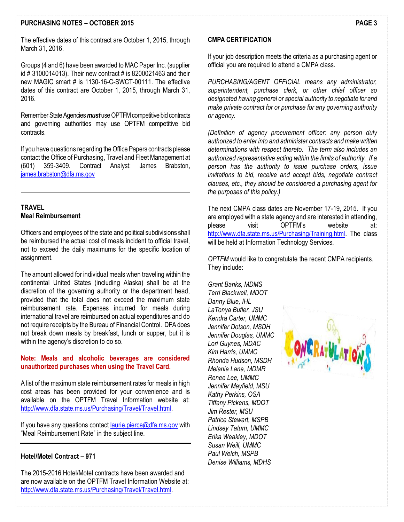### **PURCHASING NOTES – OCTOBER 2015**

Groups (4 and 6) have been awarded to MAC Paper Inc. (supplier id # 3100014013). Their new contract # is 8200021463 and their new MAGIC smart # is 1130-16-C-SWCT-00111. The effective dates of this contract are October 1, 2015, through March 31, 2016.

Remember State Agencies *must* use OPTFM competitive bid contracts and governing authorities may use OPTFM competitive bid contracts.

If you have questions regarding the Office Papers contracts please contact the Office of Purchasing, Travel and Fleet Management at (601) 359-3409. Contract Analyst: James Brabston, [james,brabston@dfa.ms.gov](mailto:Regina.Irvin@dfa.ms.gov)

### **TRAVEL Meal Reimbursement**

Officers and employees of the state and political subdivisions shall be reimbursed the actual cost of meals incident to official travel, not to exceed the daily maximums for the specific location of assignment.

The amount allowed for individual meals when traveling within the continental United States (including Alaska) shall be at the discretion of the governing authority or the department head, provided that the total does not exceed the maximum state reimbursement rate. Expenses incurred for meals during international travel are reimbursed on actual expenditures and do not require receipts by the Bureau of Financial Control. DFA does not break down meals by breakfast, lunch or supper, but it is within the agency's discretion to do so.

### **Note: Meals and alcoholic beverages are considered unauthorized purchases when using the Travel Card.**

A list of the maximum state reimbursement rates for meals in high cost areas has been provided for your convenience and is available on the OPTFM Travel Information website at: [http://www.dfa.state.ms.us/Purchasing/Travel/Travel.html.](http://www.dfa.state.ms.us/Purchasing/Travel/Travel.html)

If you have any questions contact [laurie.pierce@dfa.ms.gov](mailto:laurie.pierce@dfa.ms.gov) with "Meal Reimbursement Rate" in the subject line.

### **Hotel/Motel Contract – 971**

The 2015-2016 Hotel/Motel contracts have been awarded and are now available on the OPTFM Travel Information Website at: [http://www.dfa.state.ms.us/Purchasing/Travel/Travel.html.](http://www.dfa.state.ms.us/Purchasing/Travel/Travel.html)

### **CMPA CERTIFICATION**

If your job description meets the criteria as a purchasing agent or official you are required to attend a CMPA class.

*PURCHASING/AGENT OFFICIAL means any administrator, superintendent, purchase clerk, or other chief officer so designated having general or special authority to negotiate for and make private contract for or purchase for any governing authority or agency.* 

*(Definition of agency procurement officer: any person duly authorized to enter into and administer contracts and make written determinations with respect thereto. The term also includes an authorized representative acting within the limits of authority. If a person has the authority to issue purchase orders, issue invitations to bid, receive and accept bids, negotiate contract clauses, etc., they should be considered a purchasing agent for the purposes of this policy.)*

The next CMPA class dates are November 17-19, 2015. If you are employed with a state agency and are interested in attending, please visit OPTFM's website at: [http://www.dfa.state.ms.us/Purchasing/Training.html.](http://www.dfa.state.ms.us/Purchasing/Training.html) The class will be held at Information Technology Services.

*OPTFM* would like to congratulate the recent CMPA recipients. They include:

*Grant Banks, MDMS Terri Blackwell, MDOT Danny Blue, IHL LaTonya Butler, JSU Kendra Carter, UMMC Jennifer Dotson, MSDH Jennifer Douglas, UMMC Lori Guynes, MDAC Kim Harris, UMMC Rhonda Hudson, MSDH Melanie Lane, MDMR Renee Lee, UMMC Jennifer Mayfield, MSU Kathy Perkins, OSA Tiffany Pickens, MDOT Jim Rester, MSU Patrice Stewart, MSPB Lindsey Tatum, UMMC Erika Weakley, MDOT Susan Weill, UMMC Paul Welch, MSPB Denise Williams, MDHS*